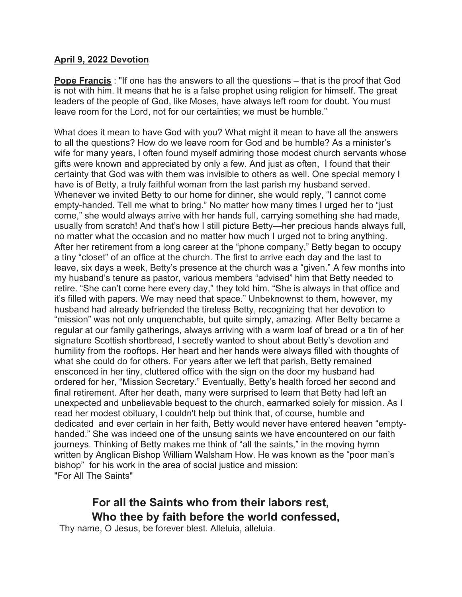## **April 9, 2022 Devotion**

**Pope Francis** : "If one has the answers to all the questions – that is the proof that God is not with him. It means that he is a false prophet using religion for himself. The great leaders of the people of God, like Moses, have always left room for doubt. You must leave room for the Lord, not for our certainties; we must be humble."

What does it mean to have God with you? What might it mean to have all the answers to all the questions? How do we leave room for God and be humble? As a minister's wife for many years, I often found myself admiring those modest church servants whose gifts were known and appreciated by only a few. And just as often, I found that their certainty that God was with them was invisible to others as well. One special memory I have is of Betty, a truly faithful woman from the last parish my husband served. Whenever we invited Betty to our home for dinner, she would reply, "I cannot come empty-handed. Tell me what to bring." No matter how many times I urged her to "just come," she would always arrive with her hands full, carrying something she had made, usually from scratch! And that's how I still picture Betty—her precious hands always full, no matter what the occasion and no matter how much I urged not to bring anything. After her retirement from a long career at the "phone company," Betty began to occupy a tiny "closet" of an office at the church. The first to arrive each day and the last to leave, six days a week, Betty's presence at the church was a "given." A few months into my husband's tenure as pastor, various members "advised" him that Betty needed to retire. "She can't come here every day," they told him. "She is always in that office and it's filled with papers. We may need that space." Unbeknownst to them, however, my husband had already befriended the tireless Betty, recognizing that her devotion to "mission" was not only unquenchable, but quite simply, amazing. After Betty became a regular at our family gatherings, always arriving with a warm loaf of bread or a tin of her signature Scottish shortbread, I secretly wanted to shout about Betty's devotion and humility from the rooftops. Her heart and her hands were always filled with thoughts of what she could do for others. For years after we left that parish, Betty remained ensconced in her tiny, cluttered office with the sign on the door my husband had ordered for her, "Mission Secretary." Eventually, Betty's health forced her second and final retirement. After her death, many were surprised to learn that Betty had left an unexpected and unbelievable bequest to the church, earmarked solely for mission. As I read her modest obituary, I couldn't help but think that, of course, humble and dedicated and ever certain in her faith, Betty would never have entered heaven "emptyhanded." She was indeed one of the unsung saints we have encountered on our faith journeys. Thinking of Betty makes me think of "all the saints," in the moving hymn written by Anglican Bishop William Walsham How. He was known as the "poor man's bishop" for his work in the area of social justice and mission: "For All The Saints"

## **For all the Saints who from their labors rest, Who thee by faith before the world confessed,**

Thy name, O Jesus, be forever blest. Alleluia, alleluia.